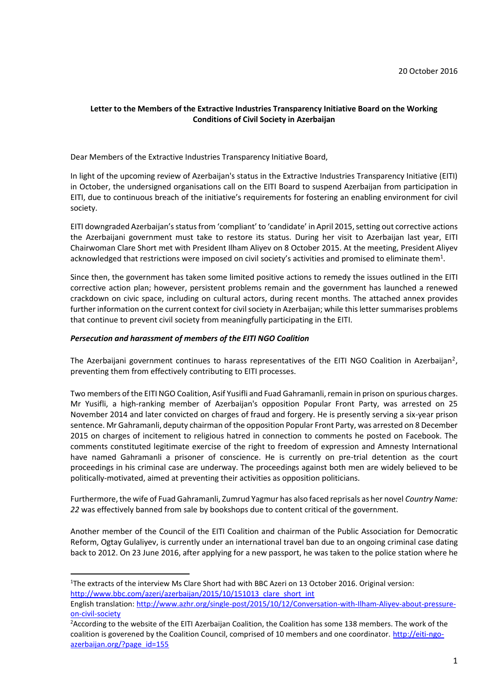## **Letter to the Members of the Extractive Industries Transparency Initiative Board on the Working Conditions of Civil Society in Azerbaijan**

Dear Members of the Extractive Industries Transparency Initiative Board,

In light of the upcoming review of Azerbaijan's status in the Extractive Industries Transparency Initiative (EITI) in October, the undersigned organisations call on the EITI Board to suspend Azerbaijan from participation in EITI, due to continuous breach of the initiative's requirements for fostering an enabling environment for civil society.

EITI downgraded Azerbaijan's status from 'compliant' to 'candidate' in April 2015, setting out corrective actions the Azerbaijani government must take to restore its status. During her visit to Azerbaijan last year, EITI Chairwoman Clare Short met with President Ilham Aliyev on 8 October 2015. At the meeting, President Aliyev acknowledged that restrictions were imposed on civil society's activities and promised to eliminate them<sup>1</sup>.

Since then, the government has taken some limited positive actions to remedy the issues outlined in the EITI corrective action plan; however, persistent problems remain and the government has launched a renewed crackdown on civic space, including on cultural actors, during recent months. The attached annex provides further information on the current context for civil society in Azerbaijan; while this letter summarises problems that continue to prevent civil society from meaningfully participating in the EITI.

#### *Persecution and harassment of members of the EITI NGO Coalition*

**.** 

The Azerbaijani government continues to harass representatives of the EITI NGO Coalition in Azerbaijan<sup>2</sup>, preventing them from effectively contributing to EITI processes.

Two members of the EITI NGO Coalition, Asif Yusifli and Fuad Gahramanli, remain in prison on spurious charges. Mr Yusifli, a high-ranking member of Azerbaijan's opposition Popular Front Party, was arrested on 25 November 2014 and later convicted on charges of fraud and forgery. He is presently serving a six-year prison sentence. Mr Gahramanli, deputy chairman of the opposition Popular Front Party, was arrested on 8 December 2015 on charges of incitement to religious hatred in connection to comments he posted on Facebook. The comments constituted legitimate exercise of the right to freedom of expression and Amnesty International have named Gahramanli a prisoner of conscience. He is currently on pre-trial detention as the court proceedings in his criminal case are underway. The proceedings against both men are widely believed to be politically-motivated, aimed at preventing their activities as opposition politicians.

Furthermore, the wife of Fuad Gahramanli, Zumrud Yagmur has also faced reprisals as her novel *Country Name: 22* was effectively banned from sale by bookshops due to content critical of the government.

Another member of the Council of the EITI Coalition and chairman of the Public Association for Democratic Reform, Ogtay Gulaliyev, is currently under an international travel ban due to an ongoing criminal case dating back to 2012. On 23 June 2016, after applying for a new passport, he was taken to the police station where he

<sup>&</sup>lt;sup>1</sup>The extracts of the interview Ms Clare Short had with BBC Azeri on 13 October 2016. Original version: [http://www.bbc.com/azeri/azerbaijan/2015/10/151013\\_clare\\_short\\_int](http://www.bbc.com/azeri/azerbaijan/2015/10/151013_clare_short_int)

English translation: [http://www.azhr.org/single-post/2015/10/12/Conversation-with-Ilham-Aliyev-about-pressure](http://www.azhr.org/single-post/2015/10/12/Conversation-with-Ilham-Aliyev-about-pressure-on-civil-society)[on-civil-society](http://www.azhr.org/single-post/2015/10/12/Conversation-with-Ilham-Aliyev-about-pressure-on-civil-society)

<sup>&</sup>lt;sup>2</sup>According to the website of the EITI Azerbaijan Coalition, the Coalition has some 138 members. The work of the coalition is goverened by the Coalition Council, comprised of 10 members and one coordinator. [http://eiti-ngo](http://eiti-ngo-azerbaijan.org/?page_id=155)[azerbaijan.org/?page\\_id=155](http://eiti-ngo-azerbaijan.org/?page_id=155)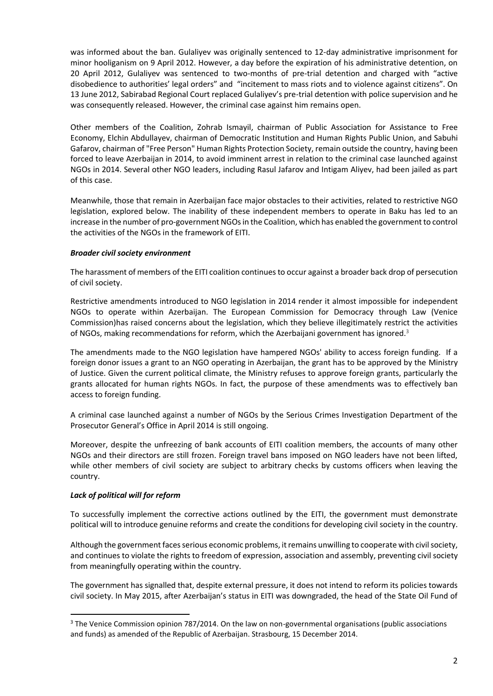was informed about the ban. Gulaliyev was originally sentenced to 12-day administrative imprisonment for minor hooliganism on 9 April 2012. However, a day before the expiration of his administrative detention, on 20 April 2012, Gulaliyev was sentenced to two-months of pre-trial detention and charged with "active disobedience to authorities' legal orders" and "incitement to mass riots and to violence against citizens". On 13 June 2012, Sabirabad Regional Court replaced Gulaliyev's pre-trial detention with police supervision and he was consequently released. However, the criminal case against him remains open.

Other members of the Coalition, Zohrab Ismayil, chairman of Public Association for Assistance to Free Economy, Elchin Abdullayev, chairman of Democratic Institution and Human Rights Public Union, and Sabuhi Gafarov, chairman of "Free Person" Human Rights Protection Society, remain outside the country, having been forced to leave Azerbaijan in 2014, to avoid imminent arrest in relation to the criminal case launched against NGOs in 2014. Several other NGO leaders, including Rasul Jafarov and Intigam Aliyev, had been jailed as part of this case.

Meanwhile, those that remain in Azerbaijan face major obstacles to their activities, related to restrictive NGO legislation, explored below. The inability of these independent members to operate in Baku has led to an increase in the number of pro-government NGOs in the Coalition, which has enabled the government to control the activities of the NGOs in the framework of EITI.

## *Broader civil society environment*

The harassment of members of the EITI coalition continues to occur against a broader back drop of persecution of civil society.

Restrictive amendments introduced to NGO legislation in 2014 render it almost impossible for independent NGOs to operate within Azerbaijan. The European Commission for Democracy through Law (Venice Commission)has raised concerns about the legislation, which they believe illegitimately restrict the activities of NGOs, making recommendations for reform, which the Azerbaijani government has ignored.<sup>3</sup>

The amendments made to the NGO legislation have hampered NGOs' ability to access foreign funding. If a foreign donor issues a grant to an NGO operating in Azerbaijan, the grant has to be approved by the Ministry of Justice. Given the current political climate, the Ministry refuses to approve foreign grants, particularly the grants allocated for human rights NGOs. In fact, the purpose of these amendments was to effectively ban access to foreign funding.

A criminal case launched against a number of NGOs by the Serious Crimes Investigation Department of the Prosecutor General's Office in April 2014 is still ongoing.

Moreover, despite the unfreezing of bank accounts of EITI coalition members, the accounts of many other NGOs and their directors are still frozen. Foreign travel bans imposed on NGO leaders have not been lifted, while other members of civil society are subject to arbitrary checks by customs officers when leaving the country.

#### *Lack of political will for reform*

1

To successfully implement the corrective actions outlined by the EITI, the government must demonstrate political will to introduce genuine reforms and create the conditions for developing civil society in the country.

Although the government faces serious economic problems, it remains unwilling to cooperate with civil society, and continues to violate the rights to freedom of expression, association and assembly, preventing civil society from meaningfully operating within the country.

The government has signalled that, despite external pressure, it does not intend to reform its policies towards civil society. In May 2015, after Azerbaijan's status in EITI was downgraded, the head of the State Oil Fund of

<sup>&</sup>lt;sup>3</sup> The Venice Commission opinion 787/2014. On the law on non-governmental organisations (public associations and funds) as amended of the Republic of Azerbaijan. Strasbourg, 15 December 2014.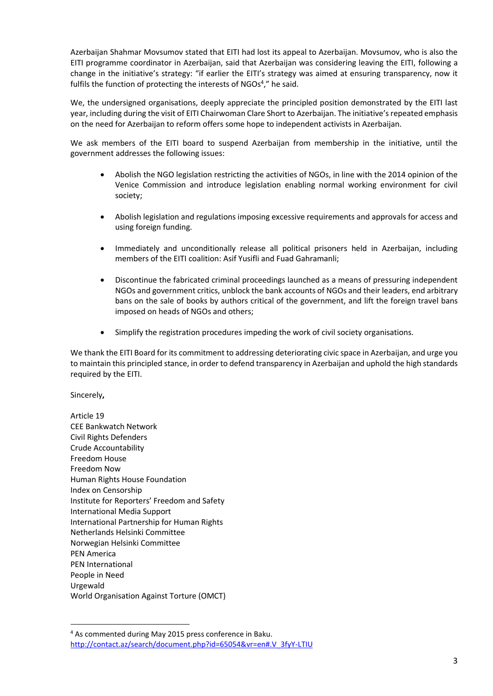Azerbaijan Shahmar Movsumov stated that EITI had lost its appeal to Azerbaijan. Movsumov, who is also the EITI programme coordinator in Azerbaijan, said that Azerbaijan was considering leaving the EITI, following a change in the initiative's strategy: "if earlier the EITI's strategy was aimed at ensuring transparency, now it fulfils the function of protecting the interests of NGOs<sup>4</sup>," he said.

We, the undersigned organisations, deeply appreciate the principled position demonstrated by the EITI last year, including during the visit of EITI Chairwoman Clare Short to Azerbaijan. The initiative's repeated emphasis on the need for Azerbaijan to reform offers some hope to independent activists in Azerbaijan.

We ask members of the EITI board to suspend Azerbaijan from membership in the initiative, until the government addresses the following issues:

- Abolish the NGO legislation restricting the activities of NGOs, in line with the 2014 opinion of the Venice Commission and introduce legislation enabling normal working environment for civil society;
- Abolish legislation and regulations imposing excessive requirements and approvals for access and using foreign funding.
- Immediately and unconditionally release all political prisoners held in Azerbaijan, including members of the EITI coalition: Asif Yusifli and Fuad Gahramanli;
- Discontinue the fabricated criminal proceedings launched as a means of pressuring independent NGOs and government critics, unblock the bank accounts of NGOs and their leaders, end arbitrary bans on the sale of books by authors critical of the government, and lift the foreign travel bans imposed on heads of NGOs and others;
- Simplify the registration procedures impeding the work of civil society organisations.

We thank the EITI Board for its commitment to addressing deteriorating civic space in Azerbaijan, and urge you to maintain this principled stance, in order to defend transparency in Azerbaijan and uphold the high standards required by the EITI.

Sincerely**,**

**.** 

Article 19 CEE Bankwatch Network Civil Rights Defenders Crude Accountability Freedom House Freedom Now Human Rights House Foundation Index on Censorship Institute for Reporters' Freedom and Safety International Media Support International Partnership for Human Rights Netherlands Helsinki Committee Norwegian Helsinki Committee PEN America PEN International People in Need Urgewald World Organisation Against Torture (OMCT)

<sup>4</sup> As commented during May 2015 press conference in Baku. [http://contact.az/search/document.php?id=65054&vr=en#.V\\_3fyY-LTIU](http://contact.az/search/document.php?id=65054&vr=en#.V_3fyY-LTIU)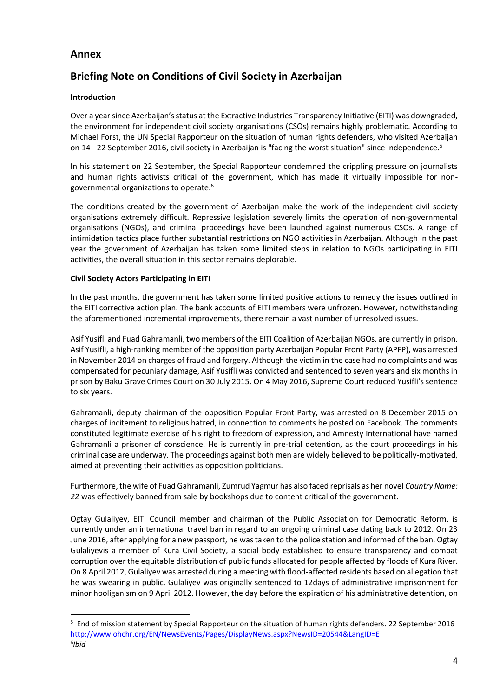## **Annex**

# **Briefing Note on Conditions of Civil Society in Azerbaijan**

## **Introduction**

1

Over a year since Azerbaijan's status at the Extractive Industries Transparency Initiative (EITI) was downgraded, the environment for independent civil society organisations (CSOs) remains highly problematic. According to Michael Forst, the UN Special Rapporteur on the situation of human rights defenders, who visited Azerbaijan on 14 - 22 September 2016, civil society in Azerbaijan is "facing the worst situation" since independence.<sup>5</sup>

In his statement on 22 September, the Special Rapporteur condemned the crippling pressure on journalists and human rights activists critical of the government, which has made it virtually impossible for nongovernmental organizations to operate.<sup>6</sup>

The conditions created by the government of Azerbaijan make the work of the independent civil society organisations extremely difficult. Repressive legislation severely limits the operation of non-governmental organisations (NGOs), and criminal proceedings have been launched against numerous CSOs. A range of intimidation tactics place further substantial restrictions on NGO activities in Azerbaijan. Although in the past year the government of Azerbaijan has taken some limited steps in relation to NGOs participating in EITI activities, the overall situation in this sector remains deplorable.

## **Civil Society Actors Participating in EITI**

In the past months, the government has taken some limited positive actions to remedy the issues outlined in the EITI corrective action plan. The bank accounts of EITI members were unfrozen. However, notwithstanding the aforementioned incremental improvements, there remain a vast number of unresolved issues.

Asif Yusifli and Fuad Gahramanli, two members of the EITI Coalition of Azerbaijan NGOs, are currently in prison. Asif Yusifli, a high-ranking member of the opposition party Azerbaijan Popular Front Party (APFP), was arrested in November 2014 on charges of fraud and forgery. Although the victim in the case had no complaints and was compensated for pecuniary damage, Asif Yusifli was convicted and sentenced to seven years and six months in prison by Baku Grave Crimes Court on 30 July 2015. On 4 May 2016, Supreme Court reduced Yusifli's sentence to six years.

Gahramanli, deputy chairman of the opposition Popular Front Party, was arrested on 8 December 2015 on charges of incitement to religious hatred, in connection to comments he posted on Facebook. The comments constituted legitimate exercise of his right to freedom of expression, and Amnesty International have named Gahramanli a prisoner of conscience. He is currently in pre-trial detention, as the court proceedings in his criminal case are underway. The proceedings against both men are widely believed to be politically-motivated, aimed at preventing their activities as opposition politicians.

Furthermore, the wife of Fuad Gahramanli, Zumrud Yagmur has also faced reprisals as her novel *Country Name: 22* was effectively banned from sale by bookshops due to content critical of the government.

Ogtay Gulaliyev, EITI Council member and chairman of the Public Association for Democratic Reform, is currently under an international travel ban in regard to an ongoing criminal case dating back to 2012. On 23 June 2016, after applying for a new passport, he was taken to the police station and informed of the ban. Ogtay Gulaliyevis a member of Kura Civil Society, a social body established to ensure transparency and combat corruption over the equitable distribution of public funds allocated for people affected by floods of Kura River. On 8 April 2012, Gulaliyev was arrested during a meeting with flood-affected residents based on allegation that he was swearing in public. Gulaliyev was originally sentenced to 12days of administrative imprisonment for minor hooliganism on 9 April 2012. However, the day before the expiration of his administrative detention, on

<sup>5</sup> End of mission statement by Special Rapporteur on the situation of human rights defenders. 22 September 2016 <http://www.ohchr.org/EN/NewsEvents/Pages/DisplayNews.aspx?NewsID=20544&LangID=E> 6 *Ibid*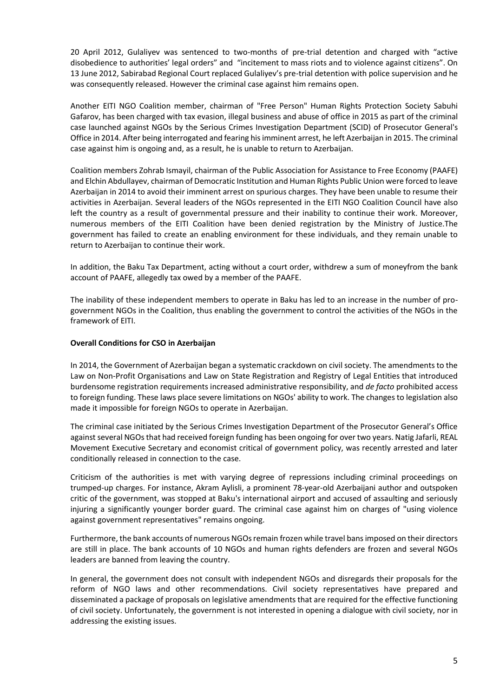20 April 2012, Gulaliyev was sentenced to two-months of pre-trial detention and charged with "active disobedience to authorities' legal orders" and "incitement to mass riots and to violence against citizens". On 13 June 2012, Sabirabad Regional Court replaced Gulaliyev's pre-trial detention with police supervision and he was consequently released. However the criminal case against him remains open.

Another EITI NGO Coalition member, chairman of "Free Person" Human Rights Protection Society Sabuhi Gafarov, has been charged with tax evasion, illegal business and abuse of office in 2015 as part of the criminal case launched against NGOs by the Serious Crimes Investigation Department (SCID) of Prosecutor General's Office in 2014. After being interrogated and fearing hisimminent arrest, he left Azerbaijan in 2015. The criminal case against him is ongoing and, as a result, he is unable to return to Azerbaijan.

Coalition members Zohrab Ismayil, chairman of the Public Association for Assistance to Free Economy (PAAFE) and Elchin Abdullayev, chairman of Democratic Institution and Human Rights Public Union were forced to leave Azerbaijan in 2014 to avoid their imminent arrest on spurious charges. They have been unable to resume their activities in Azerbaijan. Several leaders of the NGOs represented in the EITI NGO Coalition Council have also left the country as a result of governmental pressure and their inability to continue their work. Moreover, numerous members of the EITI Coalition have been denied registration by the Ministry of Justice.The government has failed to create an enabling environment for these individuals, and they remain unable to return to Azerbaijan to continue their work.

In addition, the Baku Tax Department, acting without a court order, withdrew a sum of moneyfrom the bank account of PAAFE, allegedly tax owed by a member of the PAAFE.

The inability of these independent members to operate in Baku has led to an increase in the number of progovernment NGOs in the Coalition, thus enabling the government to control the activities of the NGOs in the framework of EITI.

#### **Overall Conditions for CSO in Azerbaijan**

In 2014, the Government of Azerbaijan began a systematic crackdown on civil society. The amendments to the Law on Non-Profit Organisations and Law on State Registration and Registry of Legal Entities that introduced burdensome registration requirements increased administrative responsibility, and *de facto* prohibited access to foreign funding. These laws place severe limitations on NGOs' ability to work. The changes to legislation also made it impossible for foreign NGOs to operate in Azerbaijan.

The criminal case initiated by the Serious Crimes Investigation Department of the Prosecutor General's Office against several NGOs that had received foreign funding has been ongoing for over two years. Natig Jafarli, REAL Movement Executive Secretary and economist critical of government policy, was recently arrested and later conditionally released in connection to the case.

Criticism of the authorities is met with varying degree of repressions including criminal proceedings on trumped-up charges. For instance, Akram Aylisli, a prominent 78-year-old Azerbaijani author and outspoken critic of the government, was stopped at Baku's international airport and accused of assaulting and seriously injuring a significantly younger border guard. The criminal case against him on charges of "using violence against government representatives" remains ongoing.

Furthermore, the bank accounts of numerous NGOs remain frozen while travel bans imposed on their directors are still in place. The bank accounts of 10 NGOs and human rights defenders are frozen and several NGOs leaders are banned from leaving the country.

In general, the government does not consult with independent NGOs and disregards their proposals for the reform of NGO laws and other recommendations. Civil society representatives have prepared and disseminated a package of proposals on legislative amendments that are required for the effective functioning of civil society. Unfortunately, the government is not interested in opening a dialogue with civil society, nor in addressing the existing issues.